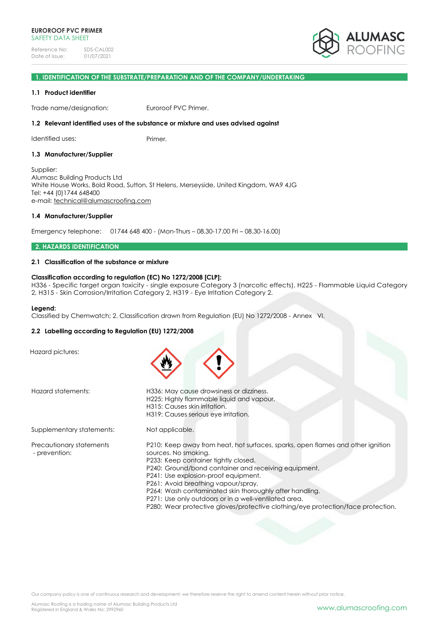

#### **1. IDENTIFICATION OF THE SUBSTRATE/PREPARATION AND OF THE COMPANY/UNDERTAKING**

### **1.1 Product identifier**

Trade name/designation: Euroroof PVC Primer.

# **1.2 Relevant identified uses of the substance or mixture and uses advised against**

Identified uses: Primer.

#### **1.3 Manufacturer/Supplier**

Supplier: Alumasc Building Products Ltd White House Works, Bold Road, Sutton, St Helens, Merseyside, United Kingdom, WA9 4JG Tel: +44 (0)1744 648400 e-mail: [technical@alumascroofing.com](mailto:technical@alumascroofing.com)

# **1.4 Manufacturer/Supplier**

Emergency telephone: 01744 648 400 - (Mon-Thurs – 08.30-17.00 Fri – 08.30-16.00)

### **2. HAZARDS IDENTIFICATION**

# **2.1 Classification of the substance or mixture**

# **Classification according to regulation (EC) No 1272/2008 [CLP]:**

H336 - Specific target organ toxicity - single exposure Category 3 (narcotic effects), H225 - Flammable Liquid Category 2, H315 - Skin Corrosion/Irritation Category 2, H319 - Eye Irritation Category 2.

#### **Legend:**

Classified by Chemwatch; 2. Classification drawn from Regulation (EU) No 1272/2008 - Annex VI.

# **2.2 Labelling according to Regulation (EU) 1272/2008**

Hazard pictures:

Hazard statements: H336: May cause drowsiness or dizziness. H225: Highly flammable liquid and vapour. H315: Causes skin irritation. H319: Causes serious eye irritation. Supplementary statements: Not applicable. Precautionary statements P210: Keep away from heat, hot surfaces, sparks, open flames and other ignition - prevention: sources. No smoking. P233: Keep container tightly closed. P240: Ground/bond container and receiving equipment. P241: Use explosion-proof equipment. P261: Avoid breathing vapour/spray. P264: Wash contaminated skin thoroughly after handling. P271: Use only outdoors or in a well-ventilated area. P280: Wear protective gloves/protective clothing/eye protection/face protection.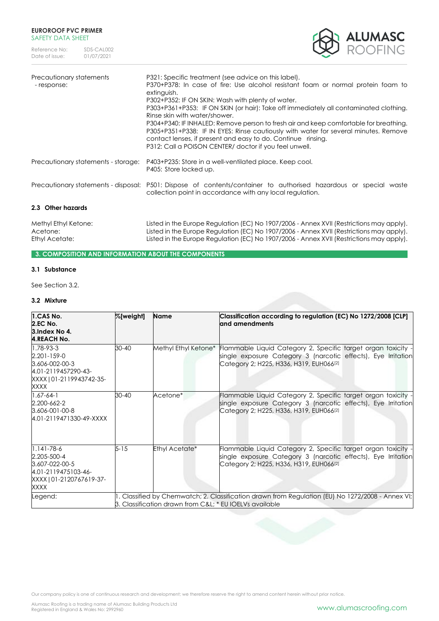

| Precautionary statements<br>-response: | P321: Specific treatment (see advice on this label).<br>P370+P378: In case of fire: Use alcohol resistant foam or normal protein foam to<br>extinguish.<br>P302+P352: IF ON SKIN: Wash with plenty of water.<br>P303+P361+P353: IF ON SKIN (or hair): Take off immediately all contaminated clothing.<br>Rinse skin with water/shower.<br>P304+P340: IF INHALED: Remove person to fresh air and keep comfortable for breathing.<br>P305+P351+P338: IF IN EYES: Rinse cautiously with water for several minutes. Remove<br>contact lenses, if present and easy to do. Continue rinsing.<br>P312: Call a POISON CENTER/ doctor if you feel unwell. |
|----------------------------------------|--------------------------------------------------------------------------------------------------------------------------------------------------------------------------------------------------------------------------------------------------------------------------------------------------------------------------------------------------------------------------------------------------------------------------------------------------------------------------------------------------------------------------------------------------------------------------------------------------------------------------------------------------|
| Precautionary statements - storage:    | P403+P235: Store in a well-ventilated place. Keep cool.<br>P405: Store locked up.                                                                                                                                                                                                                                                                                                                                                                                                                                                                                                                                                                |
|                                        | Precautionary statements - disposal: P501: Dispose of contents/container to authorised hazardous or special waste<br>collection point in accordance with any local regulation.                                                                                                                                                                                                                                                                                                                                                                                                                                                                   |
| 2.3 Other hazards                      |                                                                                                                                                                                                                                                                                                                                                                                                                                                                                                                                                                                                                                                  |

Methyl Ethyl Ketone: Listed in the Europe Regulation (EC) No 1907/2006 - Annex XVII (Restrictions may apply). Acetone: Listed in the Europe Regulation (EC) No 1907/2006 - Annex XVII (Restrictions may apply).<br>Ethyl Acetate: Listed in the Europe Regulation (EC) No 1907/2006 - Annex XVII (Restrictions may apply). Listed in the Europe Regulation (EC) No 1907/2006 - Annex XVII (Restrictions may apply).

# **3. COMPOSITION AND INFORMATION ABOUT THE COMPONENTS**

# **3.1 Substance**

See Section 3.2.

### **3.2 Mixture**

| 1.CAS No.<br><b>2.EC No.</b><br>3. Index No 4.<br><b>4.REACH No.</b>                                         | %[weight]                                                                                                                                                  | <b>Name</b>          | Classification according to regulation (EC) No 1272/2008 [CLP]<br>and amendments                                                                                                      |
|--------------------------------------------------------------------------------------------------------------|------------------------------------------------------------------------------------------------------------------------------------------------------------|----------------------|---------------------------------------------------------------------------------------------------------------------------------------------------------------------------------------|
| 1.78-93-3<br>2.201-159-0<br>3.606-002-00-3<br>4.01-2119457290-43-<br>XXXX   01-2119943742-35-<br>XXXX        | $30 - 40$                                                                                                                                                  | Methyl Ethyl Ketone* | Flammable Liquid Category 2, Specific target organ toxicity -<br>single exposure Category 3 (narcotic effects), Eye Irritation<br>Category 2; H225, H336, H319, EUH066 <sup>[2]</sup> |
| $1.67 - 64 - 1$<br>2.200-662-2<br>3.606-001-00-8<br>4.01-2119471330-49-XXXX                                  | $30 - 40$                                                                                                                                                  | Acetone*             | Flammable Liquid Category 2, Specific target organ toxicity -<br>single exposure Category 3 (narcotic effects), Eye Irritation<br>Category 2; H225, H336, H319, EUH066 <sup>[2]</sup> |
| $1.141 - 78 - 6$<br>2.205-500-4<br>3.607-022-00-5<br>4.01-2119475103-46-<br>XXXX   01-2120767619-37-<br>XXXX | $5 - 15$                                                                                                                                                   | Ethyl Acetate*       | Flammable Liquid Category 2, Specific target organ toxicity -<br>single exposure Category 3 (narcotic effects), Eye Irritation<br>Category 2; H225, H336, H319, EUH066 <sup>[2]</sup> |
| Legend:                                                                                                      | . Classified by Chemwatch; 2. Classification drawn from Regulation (EU) No 1272/2008 - Annex VI;<br>3. Classification drawn from C&L * EU IOELVs available |                      |                                                                                                                                                                                       |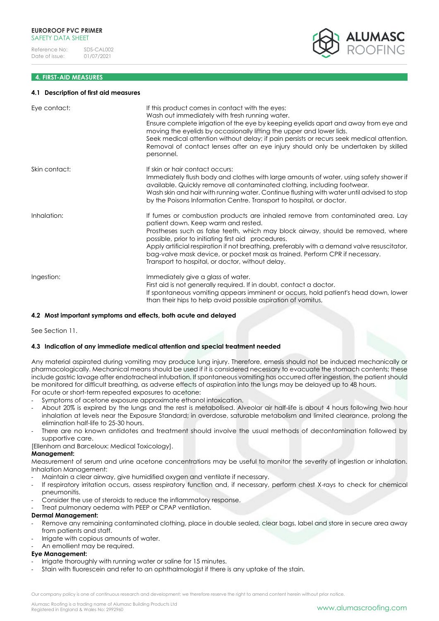# **4. FIRST-AID MEASURES**

#### **4.1 Description of first aid measures**

| Eye contact:  | If this product comes in contact with the eyes:<br>Wash out immediately with fresh running water.<br>Ensure complete irrigation of the eye by keeping eyelids apart and away from eye and<br>moving the eyelids by occasionally lifting the upper and lower lids.<br>Seek medical attention without delay; if pain persists or recurs seek medical attention.<br>Removal of contact lenses after an eye injury should only be undertaken by skilled<br>personnel.                                  |
|---------------|----------------------------------------------------------------------------------------------------------------------------------------------------------------------------------------------------------------------------------------------------------------------------------------------------------------------------------------------------------------------------------------------------------------------------------------------------------------------------------------------------|
| Skin contact: | If skin or hair contact occurs:<br>Immediately flush body and clothes with large amounts of water, using safety shower if<br>available. Quickly remove all contaminated clothing, including footwear.<br>Wash skin and hair with running water. Continue flushing with water until advised to stop<br>by the Poisons Information Centre. Transport to hospital, or doctor.                                                                                                                         |
| Inhalation:   | If fumes or combustion products are inhaled remove from contaminated area. Lay<br>patient down. Keep warm and rested.<br>Prostheses such as false teeth, which may block airway, should be removed, where<br>possible, prior to initiating first aid procedures.<br>Apply artificial respiration if not breathing, preferably with a demand valve resuscitator,<br>bag-valve mask device, or pocket mask as trained. Perform CPR if necessary.<br>Transport to hospital, or doctor, without delay. |
| Ingestion:    | Immediately give a glass of water.<br>First aid is not generally required. If in doubt, contact a doctor.<br>If spontaneous vomiting appears imminent or occurs, hold patient's head down, lower<br>than their hips to help avoid possible aspiration of vomitus,                                                                                                                                                                                                                                  |

# **4.2 Most important symptoms and effects, both acute and delayed**

See Section 11.

# **4.3 Indication of any immediate medical attention and special treatment needed**

Any material aspirated during vomiting may produce lung injury. Therefore, emesis should not be induced mechanically or pharmacologically. Mechanical means should be used if it is considered necessary to evacuate the stomach contents; these include gastric lavage after endotracheal intubation. If spontaneous vomiting has occurred after ingestion, the patient should be monitored for difficult breathing, as adverse effects of aspiration into the lungs may be delayed up to 48 hours. For acute or short-term repeated exposures to acetone:

- Symptoms of acetone exposure approximate ethanol intoxication.
- About 20% is expired by the lungs and the rest is metabolised. Alveolar air half-life is about 4 hours following two hour inhalation at levels near the Exposure Standard; in overdose, saturable metabolism and limited clearance, prolong the elimination half-life to 25-30 hours.
- There are no known antidotes and treatment should involve the usual methods of decontamination followed by supportive care.

[Ellenhorn and Barceloux: Medical Toxicology].

# **Management:**

Measurement of serum and urine acetone concentrations may be useful to monitor the severity of ingestion or inhalation. Inhalation Management:

- Maintain a clear airway, give humidified oxygen and ventilate if necessary.
- If respiratory irritation occurs, assess respiratory function and, if necessary, perform chest X-rays to check for chemical pneumonitis.
- Consider the use of steroids to reduce the inflammatory response.
- Treat pulmonary oedema with PEEP or CPAP ventilation.

# **Dermal Management:**

- Remove any remaining contaminated clothing, place in double sealed, clear bags, label and store in secure area away from patients and staff.
- Irrigate with copious amounts of water.
- An emollient may be required.

# **Eye Management:**

- Irrigate thoroughly with running water or saline for 15 minutes.
- Stain with fluorescein and refer to an ophthalmologist if there is any uptake of the stain.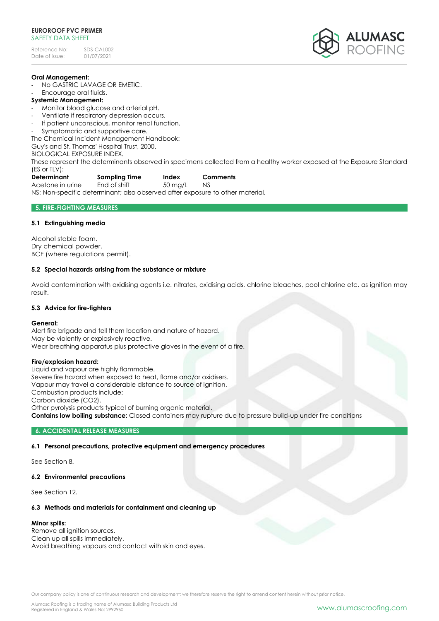Reference No: SDS-CAL002<br>Date of issue: 01/07/2021 Date of issue:



### **Oral Management:**

No GASTRIC LAVAGE OR EMETIC.

Encourage oral fluids.

# **Systemic Management:**

- Monitor blood glucose and arterial pH.
- Ventilate if respiratory depression occurs.
- If patient unconscious, monitor renal function.
- Symptomatic and supportive care.

The Chemical Incident Management Handbook:

Guy's and St. Thomas' Hospital Trust, 2000.

BIOLOGICAL EXPOSURE INDEX.

These represent the determinants observed in specimens collected from a healthy worker exposed at the Exposure Standard (ES or TLV):

| Determinant | Sampling Time | Index | Comments |
|-------------|---------------|-------|----------|
|             |               |       |          |

Acetone in urine End of shift 50 ma/L NS

NS: Non-specific determinant; also observed after exposure to other material.

# **5. FIRE-FIGHTING MEASURES**

# **5.1 Extinguishing media**

Alcohol stable foam. Dry chemical powder. BCF (where regulations permit).

# **5.2 Special hazards arising from the substance or mixture**

Avoid contamination with oxidising agents i.e. nitrates, oxidising acids, chlorine bleaches, pool chlorine etc. as ignition may result.

# **5.3 Advice for fire-fighters**

# **General:**

Alert fire brigade and tell them location and nature of hazard. May be violently or explosively reactive. Wear breathing apparatus plus protective gloves in the event of a fire.

# **Fire/explosion hazard:**

Liquid and vapour are highly flammable. Severe fire hazard when exposed to heat, flame and/or oxidisers. Vapour may travel a considerable distance to source of ignition. Combustion products include: Carbon dioxide (CO2). Other pyrolysis products typical of burning organic material. **Contains low boiling substance:** Closed containers may rupture due to pressure build-up under fire conditions

# **6. ACCIDENTAL RELEASE MEASURES**

# **6.1 Personal precautions, protective equipment and emergency procedures**

See Section 8.

# **6.2 Environmental precautions**

See Section 12.

# **6.3 Methods and materials for containment and cleaning up**

# **Minor spills:**

Remove all ignition sources. Clean up all spills immediately. Avoid breathing vapours and contact with skin and eyes.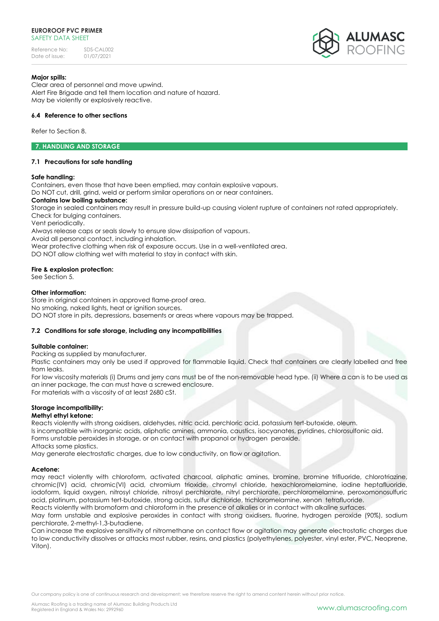Reference No: SDS-CAL002<br>Date of issue: 01/07/2021 Date of issue:



# **Major spills:**

Clear area of personnel and move upwind. Alert Fire Brigade and tell them location and nature of hazard. May be violently or explosively reactive.

# **6.4 Reference to other sections**

Refer to Section 8.

# **7. HANDLING AND STORAGE**

# **7.1 Precautions for safe handling**

# **Safe handling:**

Containers, even those that have been emptied, may contain explosive vapours.

Do NOT cut, drill, grind, weld or perform similar operations on or near containers.

# **Contains low boiling substance:**

Storage in sealed containers may result in pressure build-up causing violent rupture of containers not rated appropriately. Check for bulging containers.

Vent periodically.

Always release caps or seals slowly to ensure slow dissipation of vapours.

Avoid all personal contact, including inhalation.

Wear protective clothing when risk of exposure occurs. Use in a well-ventilated area.

DO NOT allow clothing wet with material to stay in contact with skin.

# **Fire & explosion protection:**

See Section 5.

# **Other information:**

Store in original containers in approved flame-proof area. No smoking, naked lights, heat or ignition sources. DO NOT store in pits, depressions, basements or areas where vapours may be trapped.

# **7.2 Conditions for safe storage, including any incompatibilities**

# **Suitable container:**

Packing as supplied by manufacturer.

Plastic containers may only be used if approved for flammable liquid. Check that containers are clearly labelled and free from leaks.

For low viscosity materials (i) Drums and jerry cans must be of the non-removable head type. (ii) Where a can is to be used as an inner package, the can must have a screwed enclosure.

For materials with a viscosity of at least 2680 cSt.

# **Storage incompatibility:**

# **Methyl ethyl ketone:**

Reacts violently with strong oxidisers, aldehydes, nitric acid, perchloric acid, potassium tert-butoxide, oleum. Is incompatible with inorganic acids, aliphatic amines, ammonia, caustics, isocyanates, pyridines, chlorosulfonic aid. Forms unstable peroxides in storage, or on contact with propanol or hydrogen peroxide. Attacks some plastics.

May generate electrostatic charges, due to low conductivity, on flow or agitation.

# **Acetone:**

may react violently with chloroform, activated charcoal, aliphatic amines, bromine, bromine trifluoride, chlorotriazine, chromic(IV) acid, chromic(VI) acid, chromium trioxide, chromyl chloride, hexachloromelamine, iodine heptafluoride, iodoform, liquid oxygen, nitrosyl chloride, nitrosyl perchlorate, nitryl perchlorate, perchloromelamine, peroxomonosulfuric acid, platinum, potassium tert-butoxide, strong acids, sulfur dichloride, trichloromelamine, xenon tetrafluoride.

Reacts violently with bromoform and chloroform in the presence of alkalies or in contact with alkaline surfaces.

May form unstable and explosive peroxides in contact with strong oxidisers, fluorine, hydrogen peroxide (90%), sodium perchlorate, 2-methyl-1,3-butadiene.

Can increase the explosive sensitivity of nitromethane on contact flow or agitation may generate electrostatic charges due to low conductivity dissolves or attacks most rubber, resins, and plastics (polyethylenes, polyester, vinyl ester, PVC, Neoprene, Viton).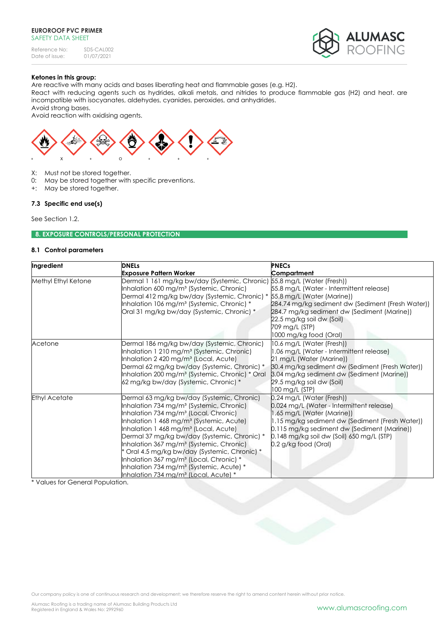Reference No: SDS-CAL002<br>Date of issue: 01/07/2021 Date of issue:



# **Ketones in this group:**

Are reactive with many acids and bases liberating heat and flammable gases (e.g. H2).

React with reducing agents such as hydrides, alkali metals, and nitrides to produce flammable gas (H2) and heat. are incompatible with isocyanates, aldehydes, cyanides, peroxides, and anhydrides.

Avoid strong bases.

Avoid reaction with oxidising agents.



- X: Must not be stored together.
- 0: May be stored together with specific preventions.
- +: May be stored together.

# **7.3 Specific end use(s)**

See Section 1.2.

# **8. EXPOSURE CONTROLS/PERSONAL PROTECTION**

## **8.1 Control parameters**

| Ingredient           | <b>DNELs</b>                                                                                                                                                                                                                                                                                                                                                                                                                                                                                                                                                                                    | <b>PNECs</b>                                                                                                                                                                                                                                                                |
|----------------------|-------------------------------------------------------------------------------------------------------------------------------------------------------------------------------------------------------------------------------------------------------------------------------------------------------------------------------------------------------------------------------------------------------------------------------------------------------------------------------------------------------------------------------------------------------------------------------------------------|-----------------------------------------------------------------------------------------------------------------------------------------------------------------------------------------------------------------------------------------------------------------------------|
|                      | <b>Exposure Pattern Worker</b>                                                                                                                                                                                                                                                                                                                                                                                                                                                                                                                                                                  | Compartment                                                                                                                                                                                                                                                                 |
| Methyl Ethyl Ketone  | Dermal 1 161 mg/kg bw/day (Systemic, Chronic) 55.8 mg/L (Water (Fresh))<br>Inhalation 600 mg/m <sup>3</sup> (Systemic, Chronic)<br>Dermal 412 mg/kg bw/day (Systemic, Chronic) * 55.8 mg/L (Water (Marine))<br>Inhalation 106 mg/m <sup>3</sup> (Systemic, Chronic) *<br>Oral 31 mg/kg bw/day (Systemic, Chronic) *                                                                                                                                                                                                                                                                             | 55.8 mg/L (Water - Intermittent release)<br>284.74 mg/kg sediment dw (Sediment (Fresh Water))<br>284.7 mg/kg sediment dw (Sediment (Marine))<br>22.5 mg/kg soil dw (Soil)<br>709 mg/L (STP)<br>1000 mg/kg food (Oral)                                                       |
| Acetone              | Dermal 186 mg/kg bw/day (Systemic, Chronic)<br>Inhalation 1 210 mg/m <sup>3</sup> (Systemic, Chronic)<br>Inhalation 2 420 mg/m <sup>3</sup> (Local, Acute)<br>Dermal 62 mg/kg bw/day (Systemic, Chronic) *<br>Inhalation 200 mg/m <sup>3</sup> (Systemic, Chronic) * Oral<br>62 mg/kg bw/day (Systemic, Chronic) *                                                                                                                                                                                                                                                                              | 10.6 mg/L (Water (Fresh))<br>1.06 mg/L (Water - Intermittent release)<br>21 mg/L (Water (Marine))<br>30.4 mg/kg sediment dw (Sediment (Fresh Water))<br>3.04 mg/kg sediment dw (Sediment (Marine))<br>29.5 mg/kg soil dw (Soil)<br>100 mg/L (STP)                           |
| <b>Ethyl Acetate</b> | Dermal 63 mg/kg bw/day (Systemic, Chronic)<br>Inhalation 734 mg/m <sup>3</sup> (Systemic, Chronic)<br>Inhalation 734 mg/m <sup>3</sup> (Local, Chronic)<br>Inhalation 1 468 mg/m <sup>3</sup> (Systemic, Acute)<br>Inhalation 1 468 mg/m <sup>3</sup> (Local, Acute)<br>Dermal 37 mg/kg bw/day (Systemic, Chronic) *<br>Inhalation 367 mg/m <sup>3</sup> (Systemic, Chronic)<br>Oral 4.5 mg/kg bw/day (Systemic, Chronic) *<br>Inhalation 367 mg/m <sup>3</sup> (Local, Chronic) *<br>Inhalation 734 mg/m <sup>3</sup> (Systemic, Acute) *<br>Inhalation 734 mg/m <sup>3</sup> (Local, Acute) * | 0.24 mg/L (Water (Fresh))<br>0.024 mg/L (Water - Intermittent release)<br>1.65 mg/L (Water (Marine))<br>1.15 mg/kg sediment dw (Sediment (Fresh Water))<br>0.115 mg/kg sediment dw (Sediment (Marine))<br>0.148 mg/kg soil dw (Soil) 650 mg/L (STP)<br>0.2 g/kg food (Oral) |

\* Values for General Population.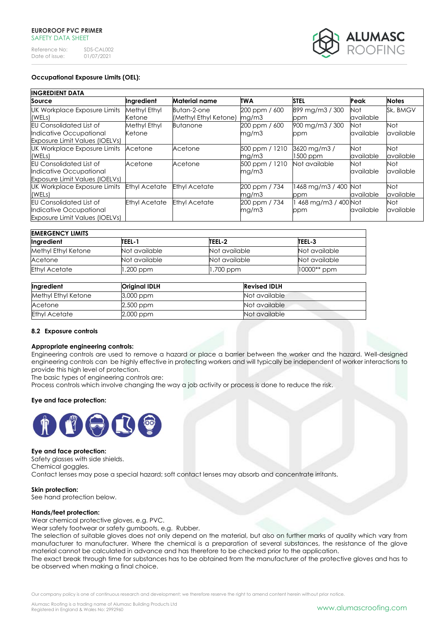| Reference No:  | SDS-CAL002 |
|----------------|------------|
| Date of issue: | 01/07/2021 |



# **Occupational Exposure Limits (OEL):**

| <b>INGREDIENT DATA</b>                |                      |                       |                |                      |            |              |
|---------------------------------------|----------------------|-----------------------|----------------|----------------------|------------|--------------|
| Source                                | Ingredient           | <b>Material name</b>  | <b>TWA</b>     | <b>STEL</b>          | Peak       | <b>Notes</b> |
| <b>UK Workplace Exposure Limits</b>   | Methyl Ethyl         | Butan-2-one           | 200 ppm / 600  | 899 mg/m3 / 300      | <b>Not</b> | Sk, BMGV     |
| (WELs)                                | Ketone               | (Methyl Ethyl Ketone) | mg/m3          | ppm                  | available  |              |
| <b>EU Consolidated List of</b>        | Methyl Ethyl         | <b>Butanone</b>       | 200 ppm / 600  | 900 mg/m3 / 300      | <b>Not</b> | Not          |
| Indicative Occupational               | Ketone               |                       | mg/m3          | ppm                  | available  | available    |
| <b>Exposure Limit Values (IOELVs)</b> |                      |                       |                |                      |            |              |
| UK Workplace Exposure Limits          | Acetone              | Acetone               | 500 ppm / 1210 | 3620 mg/m3/          | Not        | Not          |
| (WELs)                                |                      |                       | mg/m3          | 1500 ppm             | available  | available    |
| <b>EU Consolidated List of</b>        | Acetone              | Acetone               | 500 ppm / 1210 | Not available        | Not.       | Not          |
| Indicative Occupational               |                      |                       | mg/m3          |                      | available  | available    |
| <b>Exposure Limit Values (IOELVs)</b> |                      |                       |                |                      |            |              |
| UK Workplace Exposure Limits          | <b>Ethyl Acetate</b> | <b>Ethyl Acetate</b>  | 200 ppm / 734  | 1468 mg/m3 / 400 Not |            | Not          |
| (WELs)                                |                      |                       | mg/m3          | ppm                  | available  | available    |
| <b>EU Consolidated List of</b>        | <b>Ethyl Acetate</b> | <b>Ethyl Acetate</b>  | 200 ppm / 734  | 468 mg/m3 / 400 Not  |            | Not          |
| Indicative Occupational               |                      |                       | mg/m3          | ppm                  | available  | available    |
| <b>Exposure Limit Values (IOELVs)</b> |                      |                       |                |                      |            |              |

| <b>EMERGENCY LIMITS</b> |               |               |               |  |
|-------------------------|---------------|---------------|---------------|--|
| Ingredient              | TEEL-1        | TEEL-2        | TEEL-3        |  |
| Methyl Ethyl Ketone     | Not available | Not available | Not available |  |
| Acetone                 | Not available | Not available | Not available |  |
| <b>Ethyl Acetate</b>    | ,200 ppm      | .700 ppm      | $10000**$ ppm |  |

| Ingredient           | <b>Original IDLH</b> | <b>Revised IDLH</b> |
|----------------------|----------------------|---------------------|
| Methyl Ethyl Ketone  | $3,000$ ppm          | Not available       |
| Acetone              | 2,500 ppm            | Not available       |
| <b>Ethyl Acetate</b> | 2,000 ppm            | Not available       |

# **8.2 Exposure controls**

#### **Appropriate engineering controls:**

Engineering controls are used to remove a hazard or place a barrier between the worker and the hazard. Well-designed engineering controls can be highly effective in protecting workers and will typically be independent of worker interactions to provide this high level of protection.

The basic types of engineering controls are:

Process controls which involve changing the way a job activity or process is done to reduce the risk.

# **Eye and face protection:**



#### **Eye and face protection:**

Safety glasses with side shields. Chemical goggles. Contact lenses may pose a special hazard; soft contact lenses may absorb and concentrate irritants.

#### **Skin protection:**

See hand protection below.

#### **Hands/feet protection:**

Wear chemical protective gloves, e.g. PVC.

Wear safety footwear or safety gumboots, e.g. Rubber.

The selection of suitable gloves does not only depend on the material, but also on further marks of quality which vary from manufacturer to manufacturer. Where the chemical is a preparation of several substances, the resistance of the glove material cannot be calculated in advance and has therefore to be checked prior to the application.

The exact break through time for substances has to be obtained from the manufacturer of the protective gloves and has to be observed when making a final choice.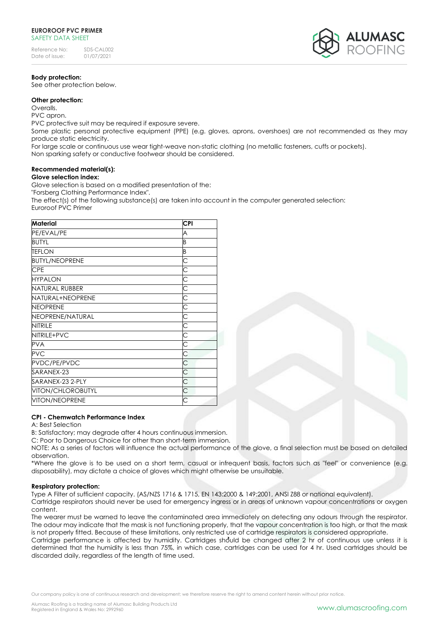# **Body protection:**

See other protection below.

# **Other protection:**

Overalls.

PVC apron.

PVC protective suit may be required if exposure severe.

Some plastic personal protective equipment (PPE) (e.g. gloves, aprons, overshoes) are not recommended as they may produce static electricity.

For large scale or continuous use wear tight-weave non-static clothing (no metallic fasteners, cuffs or pockets).

Non sparking safety or conductive footwear should be considered.

# **Recommended material(s):**

**Glove selection index:**

Glove selection is based on a modified presentation of the:

"Forsberg Clothing Performance Index".

The effect(s) of the following substance(s) are taken into account in the computer generated selection: Euroroof PVC Primer

| <b>Material</b>       | <b>CPI</b> |
|-----------------------|------------|
| PE/EVAL/PE            | A          |
| <b>BUTYL</b>          | B          |
| <b>TEFLON</b>         | B          |
| <b>BUTYL/NEOPRENE</b> | C          |
| <b>CPE</b>            | Ć          |
| <b>HYPALON</b>        | С          |
| NATURAL RUBBER        | С          |
| NATURAL+NEOPRENE      | С          |
| <b>NEOPRENE</b>       | С          |
| NEOPRENE/NATURAL      | С          |
| <b>NITRILE</b>        | Ċ          |
| NITRILE+PVC           | С          |
| <b>PVA</b>            | С          |
| <b>PVC</b>            | C          |
| PVDC/PE/PVDC          | С          |
| SARANEX-23            | Ć          |
| SARANEX-23 2-PLY      | Ć          |
| VITON/CHLOROBUTYL     | C          |
| <b>VITON/NEOPRENE</b> | C          |

# **CPI - Chemwatch Performance Index**

A: Best Selection

B: Satisfactory; may degrade after 4 hours continuous immersion.

C: Poor to Dangerous Choice for other than short-term immersion.

NOTE: As a series of factors will influence the actual performance of the glove, a final selection must be based on detailed observation.

\*Where the glove is to be used on a short term, casual or infrequent basis, factors such as "feel" or convenience (e.g. disposability), may dictate a choice of gloves which might otherwise be unsuitable.

# **Respiratory protection:**

Type A Filter of sufficient capacity. (AS/NZS 1716 & 1715, EN 143:2000 & 149:2001, ANSI Z88 or national equivalent).

Cartridge respirators should never be used for emergency ingress or in areas of unknown vapour concentrations or oxygen content.

The wearer must be warned to leave the contaminated area immediately on detecting any odours through the respirator. The odour may indicate that the mask is not functioning properly, that the vapour concentration is too high, or that the mask is not properly fitted. Because of these limitations, only restricted use of cartridge respirators is considered appropriate.

Cartridge performance is affected by humidity. Cartridges should be changed after 2 hr of continuous use unless it is determined that the humidity is less than 75%, in which case, cartridges can be used for 4 hr. Used cartridges should be discarded daily, regardless of the length of time used.



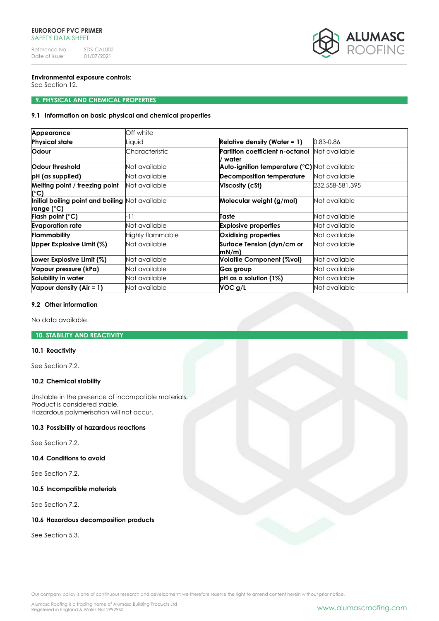Reference No: SDS-CAL002<br>Date of issue: 01/07/2021 Date of issue:



# **Environmental exposure controls:**

See Section 12.

# **9. PHYSICAL AND CHEMICAL PROPERTIES**

# **9.1 Information on basic physical and chemical properties**

| Appearance                                                            | Off white        |                                                     |                 |
|-----------------------------------------------------------------------|------------------|-----------------------------------------------------|-----------------|
| <b>Physical state</b>                                                 | Liauid           | Relative density (Water = $1$ )                     | 0.83-0.86       |
| Odour                                                                 | Characteristic   | Partition coefficient n-octanol<br>water            | Not available   |
| Odour threshold                                                       | Not available    | <b>Auto-ignition temperature (°C)</b> Not available |                 |
| pH (as supplied)                                                      | Not available    | <b>Decomposition temperature</b>                    | Not available   |
| Melting point / freezing point<br>(°C)                                | Not available    | Viscosity (cSt)                                     | 232.558-581.395 |
| Initial boiling point and boiling Not available<br><u>range (°</u> C) |                  | Molecular weight (g/mol)                            | Not available   |
| Flash point ( $^{\circ}$ C)                                           | -11              | Taste                                               | Not available   |
| <b>Evaporation rate</b>                                               | Not available    | <b>Explosive properties</b>                         | Not available   |
| Flammability                                                          | Highly flammable | Oxidising properties                                | Not available   |
| Upper Explosive Limit $(\%)$                                          | Not available    | Surface Tension (dyn/cm or<br>mN/m                  | Not available   |
| Lower Explosive Limit (%)                                             | Not available    | Volatile Component (%vol)                           | Not available   |
| Vapour pressure (kPa)                                                 | Not available    | Gas group                                           | Not available   |
| Solubility in water                                                   | Not available    | $pH$ as a solution (1%)                             | Not available   |
| Vapour density $(Air = 1)$                                            | Not available    | VOC g/L                                             | Not available   |

# **9.2 Other information**

No data available.

# **10. STABILITY AND REACTIVITY**

# **10.1 Reactivity**

See Section 7.2.

# **10.2 Chemical stability**

Unstable in the presence of incompatible materials. Product is considered stable. Hazardous polymerisation will not occur.

# **10.3 Possibility of hazardous reactions**

See Section 7.2.

# **10.4 Conditions to avoid**

See Section 7.2.

# **10.5 Incompatible materials**

See Section 7.2.

# **10.6 Hazardous decomposition products**

See Section 5.3.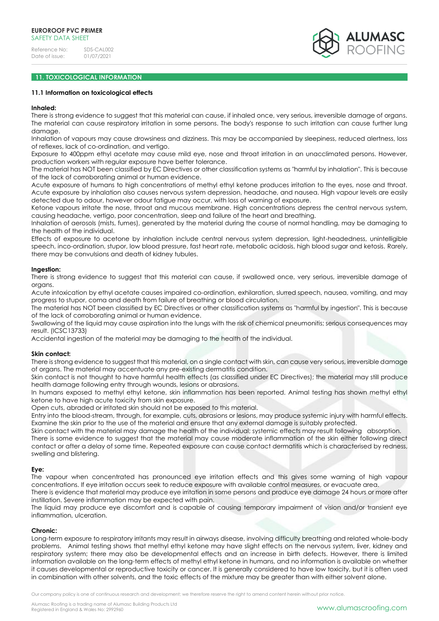

# **11. TOXICOLOGICAL INFORMATION**

#### **11.1 Information on toxicological effects**

#### **Inhaled:**

There is strong evidence to suggest that this material can cause, if inhaled once, very serious, irreversible damage of organs. The material can cause respiratory irritation in some persons. The body's response to such irritation can cause further lung damage.

Inhalation of vapours may cause drowsiness and dizziness. This may be accompanied by sleepiness, reduced alertness, loss of reflexes, lack of co-ordination, and vertigo.

Exposure to 400ppm ethyl acetate may cause mild eye, nose and throat irritation in an unacclimated persons. However, production workers with regular exposure have better tolerance.

The material has NOT been classified by EC Directives or other classification systems as "harmful by inhalation". This is because of the lack of corroborating animal or human evidence.

Acute exposure of humans to high concentrations of methyl ethyl ketone produces irritation to the eyes, nose and throat. Acute exposure by inhalation also causes nervous system depression, headache, and nausea. High vapour levels are easily detected due to odour, however odour fatigue may occur, with loss of warning of exposure.

Ketone vapours irritate the nose, throat and mucous membrane. High concentrations depress the central nervous system, causing headache, vertigo, poor concentration, sleep and failure of the heart and breathing.

Inhalation of aerosols (mists, fumes), generated by the material during the course of normal handling, may be damaging to the health of the individual.

Effects of exposure to acetone by inhalation include central nervous system depression, light-headedness, unintelligible speech, inco-ordination, stupor, low blood pressure, fast heart rate, metabolic acidosis, high blood sugar and ketosis. Rarely, there may be convulsions and death of kidney tubules.

#### **Ingestion:**

There is strong evidence to suggest that this material can cause, if swallowed once, very serious, irreversible damage of organs.

Acute intoxication by ethyl acetate causes impaired co-ordination, exhilaration, slurred speech, nausea, vomiting, and may progress to stupor, coma and death from failure of breathing or blood circulation.

The material has NOT been classified by EC Directives or other classification systems as "harmful by ingestion". This is because of the lack of corroborating animal or human evidence.

Swallowing of the liquid may cause aspiration into the lungs with the risk of chemical pneumonitis; serious consequences may result. (ICSC13733)

Accidental ingestion of the material may be damaging to the health of the individual.

# **Skin contact:**

There is strong evidence to suggest that this material, on a single contact with skin, can cause very serious, irreversible damage of organs. The material may accentuate any pre-existing dermatitis condition.

Skin contact is not thought to have harmful health effects (as classified under EC Directives); the material may still produce health damage following entry through wounds, lesions or abrasions.

In humans exposed to methyl ethyl ketone, skin inflammation has been reported. Animal testing has shown methyl ethyl ketone to have high acute toxicity from skin exposure.

Open cuts, abraded or irritated skin should not be exposed to this material.

Entry into the blood-stream, through, for example, cuts, abrasions or lesions, may produce systemic injury with harmful effects. Examine the skin prior to the use of the material and ensure that any external damage is suitably protected.

Skin contact with the material may damage the health of the individual; systemic effects may result following absorption.

There is some evidence to suggest that the material may cause moderate inflammation of the skin either following direct contact or after a delay of some time. Repeated exposure can cause contact dermatitis which is characterised by redness, swelling and blistering.

# **Eye:**

The vapour when concentrated has pronounced eye irritation effects and this gives some warning of high vapour concentrations. If eye irritation occurs seek to reduce exposure with available control measures, or evacuate area.

There is evidence that material may produce eye irritation in some persons and produce eye damage 24 hours or more after instillation. Severe inflammation may be expected with pain.

The liquid may produce eye discomfort and is capable of causing temporary impairment of vision and/or transient eye inflammation, ulceration.

#### **Chronic:**

Long-term exposure to respiratory irritants may result in airways disease, involving difficulty breathing and related whole-body problems. Animal testing shows that methyl ethyl ketone may have slight effects on the nervous system, liver, kidney and respiratory system; there may also be developmental effects and an increase in birth defects. However, there is limited information available on the long-term effects of methyl ethyl ketone in humans, and no information is available on whether it causes developmental or reproductive toxicity or cancer. It is generally considered to have low toxicity, but it is often used in combination with other solvents, and the toxic effects of the mixture may be greater than with either solvent alone.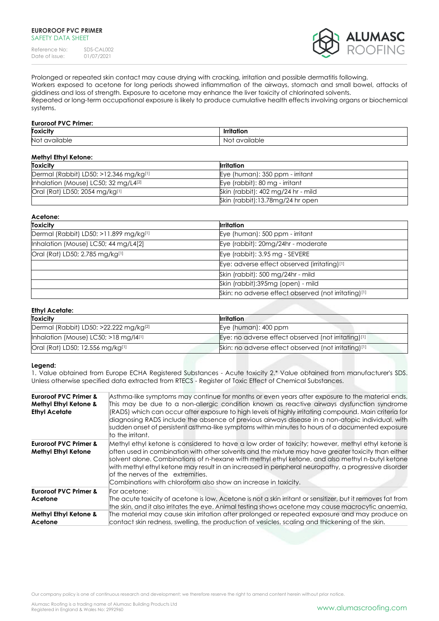Reference No: SDS-CAL002<br>Date of issue: 01/07/2021 Date of issue:



Prolonged or repeated skin contact may cause drying with cracking, irritation and possible dermatitis following. Workers exposed to acetone for long periods showed inflammation of the airways, stomach and small bowel, attacks of giddiness and loss of strength. Exposure to acetone may enhance the liver toxicity of chlorinated solvents. Repeated or long-term occupational exposure is likely to produce cumulative health effects involving organs or biochemical systems.

# **Euroroof PVC Primer:**

| <b>Toxici</b><br>.                 | _____                                                                                |
|------------------------------------|--------------------------------------------------------------------------------------|
| Not<br>avr<br>alla<br>udie<br>____ | able<br>$\overline{\phantom{a}}$<br>. .<br>$\gamma$<br>۱۱۲<br>٦U<br>◡<br>.<br>$\sim$ |

| <b>Methyl Ethyl Ketone:</b>                      |                                    |  |  |
|--------------------------------------------------|------------------------------------|--|--|
| <b>Toxicity</b>                                  | Irritation                         |  |  |
| Dermal (Rabbit) LD50: >12.346 mg/kg[1]           | Eye (human): 350 ppm - irritant    |  |  |
| Inhalation (Mouse) LC50; 32 mg/L4 <sup>[2]</sup> | Eye (rabbit): 80 mg - irritant     |  |  |
| Oral (Rat) LD50; 2054 mg/kg[1]                   | Skin (rabbit): 402 mg/24 hr - mild |  |  |
|                                                  | Skin (rabbit):13.78mg/24 hr open   |  |  |

| Acetone:                               |                                                      |
|----------------------------------------|------------------------------------------------------|
| <b>Toxicity</b>                        | <b>I</b> rritation                                   |
| Dermal (Rabbit) LD50: >11.899 mg/kg[1] | Eye (human): 500 ppm - irritant                      |
| Inhalation (Mouse) LC50; 44 mg/L4[2]   | Eye (rabbit): 20mg/24hr - moderate                   |
| Oral (Rat) LD50; 2.785 mg/kg[1]        | Eye (rabbit): 3.95 mg - SEVERE                       |
|                                        | Eye: adverse effect observed (irritating)[1]         |
|                                        | Skin (rabbit): 500 mg/24hr - mild                    |
|                                        | Skin (rabbit):395mg (open) - mild                    |
|                                        | Skin: no adverse effect observed (not irritating)[1] |

| Ethyl Acetate:                                     |                                                      |  |  |  |
|----------------------------------------------------|------------------------------------------------------|--|--|--|
| <b>Toxicity</b>                                    | <b>Irritation</b>                                    |  |  |  |
| Dermal (Rabbit) LD50: >22.222 mg/kg <sup>[2]</sup> | Eye (human): 400 ppm                                 |  |  |  |
| Inhalation (Mouse) LC50; $>18$ mg/ $ 4[1]$         | Eye: no adverse effect observed (not irritating)[1]  |  |  |  |
| Oral (Rat) LD50; 12.556 mg/kg[1]                   | Skin: no adverse effect observed (not irritating)[1] |  |  |  |

# **Legend:**

1. Value obtained from Europe ECHA Registered Substances - Acute toxicity 2.\* Value obtained from manufacturer's SDS. Unless otherwise specified data extracted from RTECS - Register of Toxic Effect of Chemical Substances.

| <b>Euroroof PVC Primer &amp;</b><br>Methyl Ethyl Ketone &<br><b>Ethyl Acetate</b> | Asthma-like symptoms may continue for months or even years after exposure to the material ends.<br>This may be due to a non-allergic condition known as reactive airways dysfunction syndrome<br>(RADS) which can occur after exposure to high levels of highly irritating compound. Main criteria for<br>diagnosing RADS include the absence of previous airways disease in a non-atopic individual, with<br>sudden onset of persistent asthma-like symptoms within minutes to hours of a documented exposure<br>to the irritant. |
|-----------------------------------------------------------------------------------|------------------------------------------------------------------------------------------------------------------------------------------------------------------------------------------------------------------------------------------------------------------------------------------------------------------------------------------------------------------------------------------------------------------------------------------------------------------------------------------------------------------------------------|
| <b>Euroroof PVC Primer &amp;</b><br><b>Methyl Ethyl Ketone</b>                    | Methyl ethyl ketone is considered to have a low order of toxicity; however, methyl ethyl ketone is<br>often used in combination with other solvents and the mixture may have greater toxicity than either<br>solvent alone. Combinations of n-hexane with methyl ethyl ketone, and also methyl n-butyl ketone<br>with methyl ethyl ketone may result in an increased in peripheral neuropathy, a progressive disorder<br>lof the nerves of the extremities.<br>Combinations with chloroform also show an increase in toxicity.     |
| <b>Euroroof PVC Primer &amp;</b><br>Acetone                                       | For acetone:<br>The acute toxicity of acetone is low. Acetone is not a skin irritant or sensitizer, but it removes fat from<br>the skin, and it also irritates the eye. Animal testing shows acetone may cause macrocytic anaemia.                                                                                                                                                                                                                                                                                                 |
| Methyl Ethyl Ketone &<br>Acetone                                                  | The material may cause skin irritation after prolonged or repeated exposure and may produce on<br>contact skin redness, swelling, the production of vesicles, scaling and thickening of the skin.                                                                                                                                                                                                                                                                                                                                  |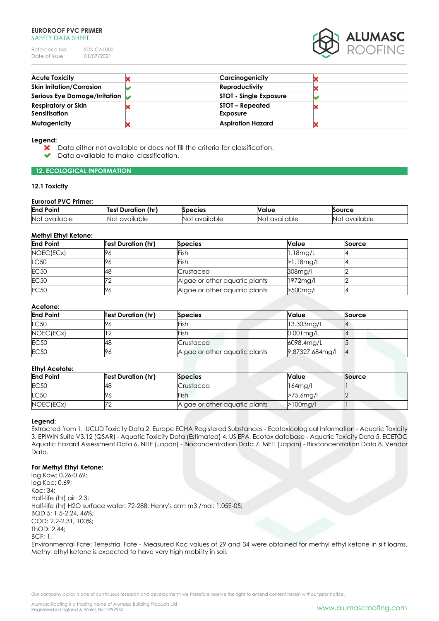Reference No: SDS-CAL002<br>Date of issue: 01/07/2021 Date of issue:



| <b>Acute Toxicity</b>                          | Carcinogenicity               |  |
|------------------------------------------------|-------------------------------|--|
| <b>Skin Irritation/Corrosion</b>               | <b>Reproductivity</b>         |  |
| Serious Eye Damage/Irritation $\triangleright$ | <b>STOT - Single Exposure</b> |  |
| <b>Respiratory or Skin</b>                     | STOT – Repeated               |  |
| Sensitisation                                  | <b>Exposure</b>               |  |
| Mutagenicity                                   | <b>Aspiration Hazard</b>      |  |

#### **Legend:**

- × Data either not available or does not fill the criteria for classification.
	- Data available to make classification.

# **12. ECOLOGICAL INFORMATION**

# **12.1 Toxicity**

# **Euroroof PVC Primer:**

| <b>End Point</b> | (hr)<br>Duration<br>Test | Species   | <b>Value</b> | Source    |
|------------------|--------------------------|-----------|--------------|-----------|
| Not              | NO.                      | available | <b>NO</b>    | available |
| available        | available                | Not       | available    | NO.       |

# **Methyl Ethyl Ketone:**

| <b>End Point</b> | <b>Test Duration (hr)</b> | <b>Species</b>                | Value        | Source |
|------------------|---------------------------|-------------------------------|--------------|--------|
| NOEC(ECx)        | 76                        | Fish                          | $1.18$ mg/L  |        |
| LC50             | 96                        | Fish                          | $>1.18$ mg/L |        |
| <b>EC50</b>      | 48                        | Crustacea                     | 308mg/l      |        |
| <b>EC50</b>      |                           | Algae or other aquatic plants | 1972mg/l     |        |
| <b>EC50</b>      | 76                        | Algae or other aquatic plants | >500mg/l     |        |

### **Acetone:**

| <b>End Point</b> | <b>Test Duration (hr)</b> | <b>Species</b>                | Value           | Source |
|------------------|---------------------------|-------------------------------|-----------------|--------|
| LC50             |                           | Fish                          | 13.303mg/L      |        |
| NOEC(ECx)        |                           | Fish                          | $0.001$ mg/L    |        |
| <b>EC50</b>      | 48                        | Crustacea                     | 6098.4mg/L      |        |
| <b>EC50</b>      | 96                        | Algae or other aquatic plants | 9.87327.684mg/l |        |

# **Ethyl Acetate:**

| <b>End Point</b> | <b>Test Duration (hr)</b> | <b>Species</b>                | Value        | Source |  |
|------------------|---------------------------|-------------------------------|--------------|--------|--|
| EC50             | 48                        | Crustacea                     | $164$ mg/l   |        |  |
| LC50             |                           | Fish                          | $>75.6$ mg/l |        |  |
| NOEC(ECx)        |                           | Algae or other aquatic plants | $>100$ mg/l  |        |  |

#### **Legend:**

Extracted from 1. IUCLID Toxicity Data 2. Europe ECHA Registered Substances - Ecotoxicological Information - Aquatic Toxicity 3. EPIWIN Suite V3.12 (QSAR) - Aquatic Toxicity Data (Estimated) 4. US EPA, Ecotox database - Aquatic Toxicity Data 5. ECETOC Aquatic Hazard Assessment Data 6. NITE (Japan) - Bioconcentration Data 7. METI (Japan) - Bioconcentration Data 8. Vendor Data.

# **For Methyl Ethyl Ketone:**

log Kow: 0.26-0.69; log Koc: 0.69; Koc: 34; Half-life (hr) air: 2.3; Half-life (hr) H2O surface water: 72-288; Henry's atm m3 /mol: 1.05E-05; BOD 5: 1.5-2.24, 46%; COD: 2.2-2.31, 100%; ThOD: 2.44; BCF: 1. Environmental Fate: Terrestrial Fate - Measured Koc values of 29 and 34 were obtained for methyl ethyl ketone in silt loams. Methyl ethyl ketone is expected to have very high mobility in soil.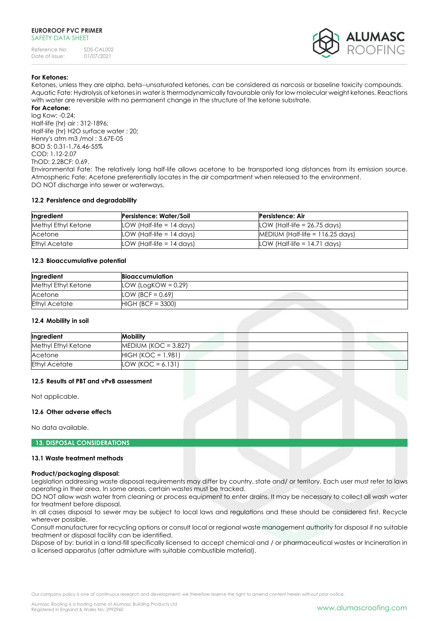

# **For Ketones:**

Ketones, unless they are alpha, beta--unsaturated ketones, can be considered as narcosis or baseline toxicity compounds. Aquatic Fate: Hydrolysis of ketones in water is thermodynamically favourable only for low molecular weight ketones. Reactions with water are reversible with no permanent change in the structure of the ketone substrate.

# **For Acetone:**

log Kow: -0.24; Half-life (hr) air : 312-1896; Half-life (hr) H2O surface water : 20; Henry's atm m3 /mol : 3.67E-05 BOD 5: 0.31-1.76,46-55% COD: 1.12-2.07 ThOD: 2.2BCF: 0.69.

Environmental Fate: The relatively long half-life allows acetone to be transported long distances from its emission source. Atmospheric Fate: Acetone preferentially locates in the air compartment when released to the environment. DO NOT discharge into sewer or waterways.

#### **12.2 Persistence and degradability**

| Ingredient           | Persistence: Water/Soil     | Persistence: Air                   |
|----------------------|-----------------------------|------------------------------------|
| Methyl Ethyl Ketone  | LOW (Half-life $= 14$ days) | LOW (Half-life $= 26.75$ days)     |
| Acetone              | LOW (Half-life $= 14$ days) | MEDIUM (Half-life = $116.25$ days) |
| <b>Ethyl Acetate</b> | LOW (Half-life = 14 days)   | LOW (Half-life $= 14.71$ days)     |

#### **12.3 Bioaccumulative potential**

| Ingredient           | Bioaccumulation        |
|----------------------|------------------------|
| Methyl Ethyl Ketone  | LOW (LogKOW = $0.29$ ) |
| Acetone              | LOW (BCF = $0.69$ )    |
| <b>Ethyl Acetate</b> | $HIGH (BCF = 3300)$    |

# **12.4 Mobility in soil**

| Ingredient           | <b>Mobility</b>      |  |
|----------------------|----------------------|--|
| Methyl Ethyl Ketone  | MEDIUM (KOC = 3.827) |  |
| Acetone              | $HIGH (KOC = 1.981)$ |  |
| <b>Ethyl Acetate</b> | LOW (KOC = $6.131$ ) |  |

# **12.5 Results of PBT and vPvB assessment**

Not applicable.

#### **12.6 Other adverse effects**

No data available.

# **13. DISPOSAL CONSIDERATIONS**

#### **13.1 Waste treatment methods**

#### **Product/packaging disposal:**

Legislation addressing waste disposal requirements may differ by country, state and/ or territory. Each user must refer to laws operating in their area. In some areas, certain wastes must be tracked.

DO NOT allow wash water from cleaning or process equipment to enter drains. It may be necessary to collect all wash water for treatment before disposal.

In all cases disposal to sewer may be subject to local laws and regulations and these should be considered first. Recycle wherever possible.

Consult manufacturer for recycling options or consult local or regional waste management authority for disposal if no suitable treatment or disposal facility can be identified.

Dispose of by: burial in a land-fill specifically licensed to accept chemical and / or pharmaceutical wastes or Incineration in a licensed apparatus (after admixture with suitable combustible material).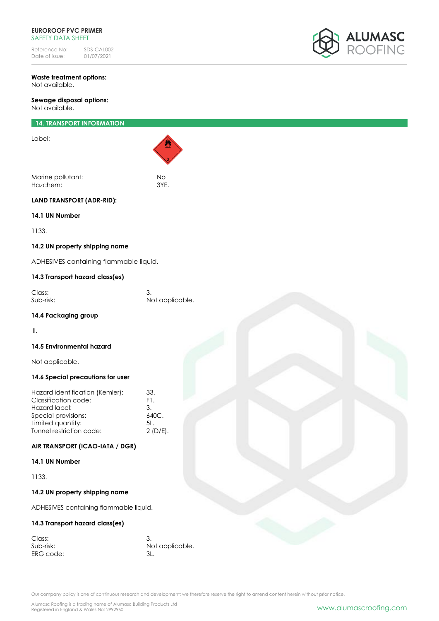Reference No: SDS-CAL002<br>Date of issue: 01/07/2021 Date of issue:



# **Waste treatment options:** Not available.

**Sewage disposal options:** Not available.

# **14. TRANSPORT INFORMATION**

Label:

Marine pollutant: No Hazchem:

**LAND TRANSPORT (ADR-RID):**

# **14.1 UN Number**

1133.

# **14.2 UN property shipping name**

ADHESIVES containing flammable liquid.

# **14.3 Transport hazard class(es)**

| Class:    |                 |
|-----------|-----------------|
| Sub-risk: | Not applicable. |

# **14.4 Packaging group**

III.

# **14.5 Environmental hazard**

Not applicable.

# **14.6 Special precautions for user**

| Hazard identification (Kemler): | 33.             |
|---------------------------------|-----------------|
| Classification code:            | F1.             |
| Hazard label:                   | 3.              |
| Special provisions:             | 640C.           |
| Limited quantity:               | 51 <sub>1</sub> |
| Tunnel restriction code:        | $2(D/E)$ .      |
|                                 |                 |

# **AIR TRANSPORT (ICAO-IATA / DGR)**

# **14.1 UN Number**

1133.

# **14.2 UN property shipping name**

ADHESIVES containing flammable liquid.

# **14.3 Transport hazard class(es)**

| Class:    |                 |
|-----------|-----------------|
| Sub-risk: | Not applicable. |
| ERG code: |                 |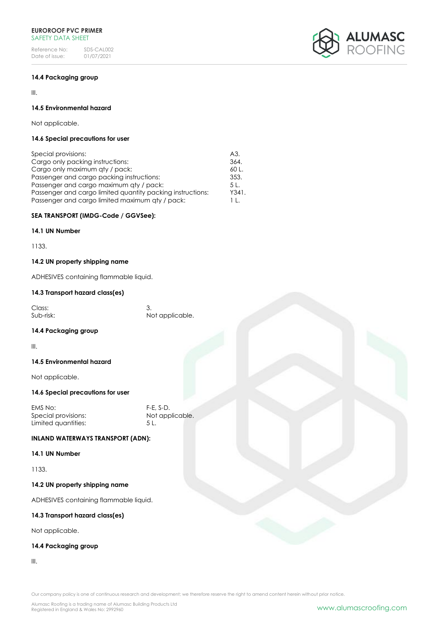Reference No: SDS-CAL002<br>Date of issue: 01/07/2021 Date of issue:



# **14.4 Packaging group**

III.

# **14.5 Environmental hazard**

Not applicable.

# **14.6 Special precautions for user**

| Special provisions:                                        | A3.   |
|------------------------------------------------------------|-------|
| Cargo only packing instructions:                           | 364.  |
| Cargo only maximum aty / pack:                             | 60L   |
| Passenger and cargo packing instructions:                  | 353.  |
| Passenger and cargo maximum aty / pack:                    | 5 L.  |
| Passenger and cargo limited quantity packing instructions: | Y341. |
| Passenger and cargo limited maximum qty / pack:            | 11.   |

# **SEA TRANSPORT (IMDG-Code / GGVSee):**

# **14.1 UN Number**

1133.

# **14.2 UN property shipping name**

ADHESIVES containing flammable liquid.

# **14.3 Transport hazard class(es)**

| Class:    |                 |
|-----------|-----------------|
| Sub-risk: | Not applicable. |

# **14.4 Packaging group**

III.

# **14.5 Environmental hazard**

Not applicable.

# **14.6 Special precautions for user**

EMS No: F-E, S-D. Special provisions: Limited quantities: 5 L.

# **INLAND WATERWAYS TRANSPORT (ADN):**

# **14.1 UN Number**

1133.

# **14.2 UN property shipping name**

ADHESIVES containing flammable liquid.

# **14.3 Transport hazard class(es)**

Not applicable.

# **14.4 Packaging group**

III.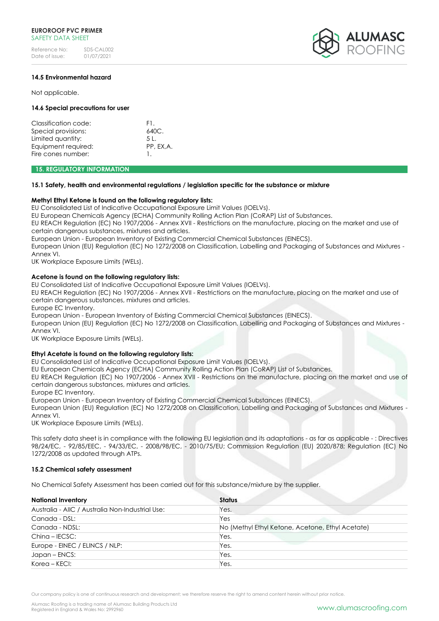

# **14.5 Environmental hazard**

Not applicable.

# **14.6 Special precautions for user**

| Classification code: | E1.       |
|----------------------|-----------|
| Special provisions:  | 640C.     |
| Limited quantity:    | 51.       |
| Equipment required:  | PP. EX.A. |
| Fire cones number:   |           |

### **15. REGULATORY INFORMATION**

#### **15.1 Safety, health and environmental regulations / legislation specific for the substance or mixture**

# **Methyl Ethyl Ketone is found on the following regulatory lists:**

EU Consolidated List of Indicative Occupational Exposure Limit Values (IOELVs).

EU European Chemicals Agency (ECHA) Community Rolling Action Plan (CoRAP) List of Substances.

EU REACH Regulation (EC) No 1907/2006 - Annex XVII - Restrictions on the manufacture, placing on the market and use of certain dangerous substances, mixtures and articles.

European Union - European Inventory of Existing Commercial Chemical Substances (EINECS).

European Union (EU) Regulation (EC) No 1272/2008 on Classification, Labelling and Packaging of Substances and Mixtures - Annex VI.

UK Workplace Exposure Limits (WELs).

# **Acetone is found on the following regulatory lists:**

EU Consolidated List of Indicative Occupational Exposure Limit Values (IOELVs).

EU REACH Regulation (EC) No 1907/2006 - Annex XVII - Restrictions on the manufacture, placing on the market and use of certain dangerous substances, mixtures and articles.

Europe EC Inventory.

European Union - European Inventory of Existing Commercial Chemical Substances (EINECS).

European Union (EU) Regulation (EC) No 1272/2008 on Classification, Labelling and Packaging of Substances and Mixtures - Annex VI.

UK Workplace Exposure Limits (WELs).

# **Ethyl Acetate is found on the following regulatory lists:**

EU Consolidated List of Indicative Occupational Exposure Limit Values (IOELVs).

EU European Chemicals Agency (ECHA) Community Rolling Action Plan (CoRAP) List of Substances.

EU REACH Regulation (EC) No 1907/2006 - Annex XVII - Restrictions on the manufacture, placing on the market and use of certain dangerous substances, mixtures and articles.

Europe EC Inventory.

European Union - European Inventory of Existing Commercial Chemical Substances (EINECS).

European Union (EU) Regulation (EC) No 1272/2008 on Classification, Labelling and Packaging of Substances and Mixtures - Annex VI.

UK Workplace Exposure Limits (WELs).

This safety data sheet is in compliance with the following EU legislation and its adaptations - as far as applicable - : Directives 98/24/EC, - 92/85/EEC, - 94/33/EC, - 2008/98/EC, - 2010/75/EU; Commission Regulation (EU) 2020/878; Regulation (EC) No 1272/2008 as updated through ATPs.

# **15.2 Chemical safety assessment**

No Chemical Safety Assessment has been carried out for this substance/mixture by the supplier.

| <b>National Inventory</b>                        | <b>Status</b>                                    |
|--------------------------------------------------|--------------------------------------------------|
| Australia - AIIC / Australia Non-Industrial Use: | Yes.                                             |
| Canada - DSL:                                    | Yes                                              |
| Canada - NDSL:                                   | No (Methyl Ethyl Ketone, Acetone, Ethyl Acetate) |
| $China - IECSC:$                                 | Yes.                                             |
| Europe - EINEC / ELINCS / NLP:                   | Yes.                                             |
| Japan – ENCS:                                    | Yes.                                             |
| Korea - KECI:                                    | Yes.                                             |